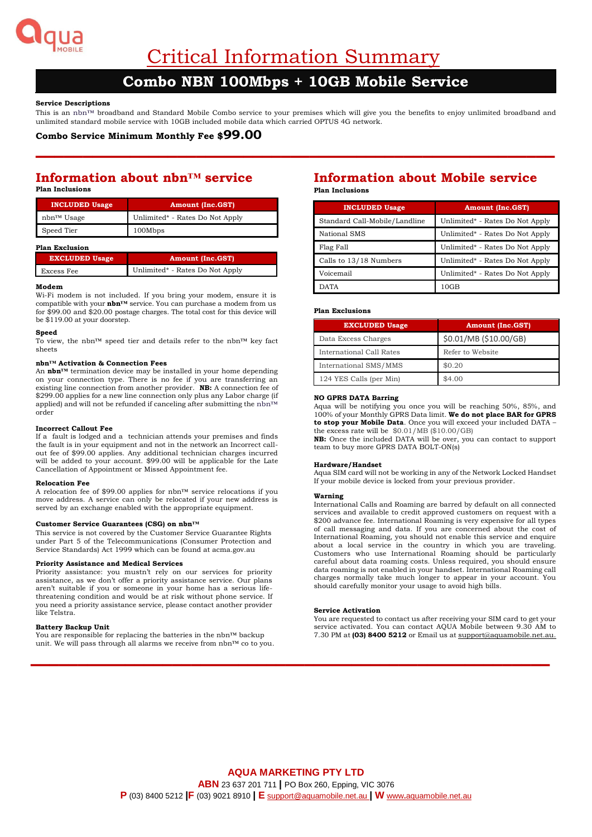

Critical Information Summary

# **Combo NBN 100Mbps + 10GB Mobile Service**

## **Service Descriptions**

This is an nbn™ broadband and Standard Mobile Combo service to your premises which will give you the benefits to enjoy unlimited broadband and unlimited standard mobile service with 10GB included mobile data which carried OPTUS 4G network.

**–––––––––––––––––––––––––––––––––––––––––––––––––––––––**

## **Combo Service Minimum Monthly Fee \$99.00**

## **Information about nbn™ service Plan Inclusions**

| <b>INCLUDED Usage</b> | <b>Amount (Inc.GST)</b>         |
|-----------------------|---------------------------------|
| nbn™ Usage            | Unlimited* - Rates Do Not Apply |
| Speed Tier            | 100Mbps                         |

#### **Plan Exclusion**

| <b>EXCLUDED Usage</b> | <b>Amount (Inc.GST)</b>         |
|-----------------------|---------------------------------|
| Excess Fee            | Unlimited* - Rates Do Not Apply |

#### **Modem**

Wi-Fi modem is not included. If you bring your modem, ensure it is compatible with your **nbn™** service. You can purchase a modem from us for \$99.00 and \$20.00 postage charges. The total cost for this device will be \$119.00 at your doorstep.

#### **Speed**

To view, the nbn™ speed tier and details refer to the nbn™ key fact sheets

### **nbn™ Activation & Connection Fees**

An **nbn™** termination device may be installed in your home depending on your connection type. There is no fee if you are transferring an existing line connection from another provider. **NB:** A connection fee of \$299.00 applies for a new line connection only plus any Labor charge (if applied) and will not be refunded if canceling after submitting the nbn™ order

#### **Incorrect Callout Fee**

If a fault is lodged and a technician attends your premises and finds the fault is in your equipment and not in the network an Incorrect callout fee of \$99.00 applies. Any additional technician charges incurred will be added to your account. \$99.00 will be applicable for the Late Cancellation of Appointment or Missed Appointment fee.

#### **Relocation Fee**

A relocation fee of \$99.00 applies for nbn™ service relocations if you move address. A service can only be relocated if your new address is served by an exchange enabled with the appropriate equipment.

#### **Customer Service Guarantees (CSG) on nbn™**

This service is not covered by the Customer Service Guarantee Rights under Part 5 of the Telecommunications (Consumer Protection and Service Standards) Act 1999 which can be found at acma.gov.au

#### **Priority Assistance and Medical Services**

Priority assistance: you mustn't rely on our services for priority assistance, as we don't offer a priority assistance service. Our plans aren't suitable if you or someone in your home has a serious lifethreatening condition and would be at risk without phone service. If you need a priority assistance service, please contact another provider like Telstra.

#### **Battery Backup Unit**

You are responsible for replacing the batteries in the nbn™ backup unit. We will pass through all alarms we receive from nbn™ co to you.

## **Information about Mobile service Plan Inclusions**

| <b>INCLUDED Usage</b>         | <b>Amount (Inc.GST)</b>         |
|-------------------------------|---------------------------------|
| Standard Call-Mobile/Landline | Unlimited* - Rates Do Not Apply |
| National SMS                  | Unlimited* - Rates Do Not Apply |
| Flag Fall                     | Unlimited* - Rates Do Not Apply |
| Calls to 13/18 Numbers        | Unlimited* - Rates Do Not Apply |
| Voicemail                     | Unlimited* - Rates Do Not Apply |
| <b>DATA</b>                   | 10GB                            |

#### **Plan Exclusions**

| <b>EXCLUDED Usage</b>    | <b>Amount (Inc.GST)</b> |
|--------------------------|-------------------------|
| Data Excess Charges      | \$0.01/MB (\$10.00/GB)  |
| International Call Rates | Refer to Website        |
| International SMS/MMS    | \$0.20                  |
| 124 YES Calls (per Min)  | \$4.00                  |

## **NO GPRS DATA Barring**

Aqua will be notifying you once you will be reaching 50%, 85%, and 100% of your Monthly GPRS Data limit. **We do not place BAR for GPRS to stop your Mobile Data**. Once you will exceed your included DATA – the excess rate will be  $$0.01/MB$$  (\$10.00/GB)

**NB:** Once the included DATA will be over, you can contact to support team to buy more GPRS DATA BOLT-ON(s)

#### **Hardware/Handset**

Aqua SIM card will not be working in any of the Network Locked Handset If your mobile device is locked from your previous provider.

#### **Warning**

International Calls and Roaming are barred by default on all connected services and available to credit approved customers on request with a \$200 advance fee. International Roaming is very expensive for all types of call messaging and data. If you are concerned about the cost of International Roaming, you should not enable this service and enquire about a local service in the country in which you are traveling. Customers who use International Roaming should be particularly careful about data roaming costs. Unless required, you should ensure data roaming is not enabled in your handset. International Roaming call charges normally take much longer to appear in your account. You should carefully monitor your usage to avoid high bills.

#### **Service Activation**

You are requested to contact us after receiving your SIM card to get your service activated. You can contact AQUA Mobile between 9.30 AM to 7.30 PM at **(03) 8400 5212** or Email us a[t support@aquamobile.net.au.](mailto:support@aquamobile.net.au)

**–––––––––––––––––––––––––––––––––––––––––––––––––––––––**